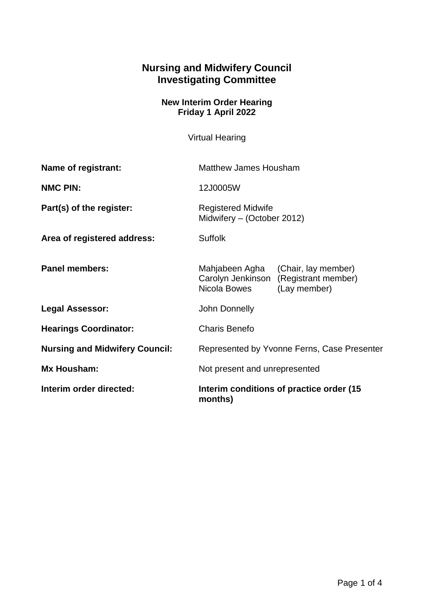## **Nursing and Midwifery Council Investigating Committee**

## **New Interim Order Hearing Friday 1 April 2022**

Virtual Hearing

| Name of registrant:                   | <b>Matthew James Housham</b>                                                                                      |
|---------------------------------------|-------------------------------------------------------------------------------------------------------------------|
| <b>NMC PIN:</b>                       | 12J0005W                                                                                                          |
| Part(s) of the register:              | <b>Registered Midwife</b><br>Midwifery - (October 2012)                                                           |
| Area of registered address:           | <b>Suffolk</b>                                                                                                    |
| <b>Panel members:</b>                 | Mahjabeen Agha<br>(Chair, lay member)<br>Carolyn Jenkinson<br>(Registrant member)<br>Nicola Bowes<br>(Lay member) |
| <b>Legal Assessor:</b>                | John Donnelly                                                                                                     |
| <b>Hearings Coordinator:</b>          | <b>Charis Benefo</b>                                                                                              |
| <b>Nursing and Midwifery Council:</b> | Represented by Yvonne Ferns, Case Presenter                                                                       |
| Mx Housham:                           | Not present and unrepresented                                                                                     |
| Interim order directed:               | Interim conditions of practice order (15)<br>months)                                                              |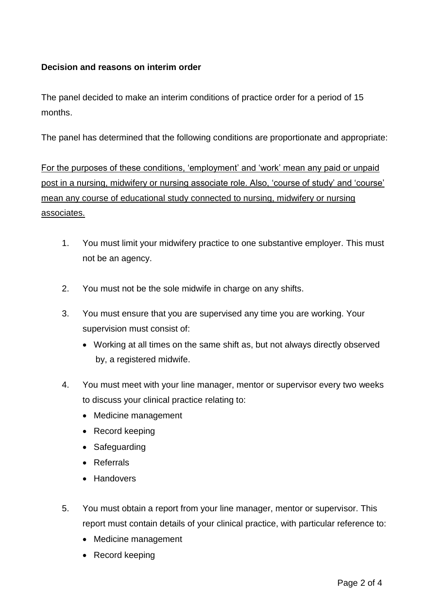## **Decision and reasons on interim order**

The panel decided to make an interim conditions of practice order for a period of 15 months.

The panel has determined that the following conditions are proportionate and appropriate:

For the purposes of these conditions, 'employment' and 'work' mean any paid or unpaid post in a nursing, midwifery or nursing associate role. Also, 'course of study' and 'course' mean any course of educational study connected to nursing, midwifery or nursing associates.

- 1. You must limit your midwifery practice to one substantive employer. This must not be an agency.
- 2. You must not be the sole midwife in charge on any shifts.
- 3. You must ensure that you are supervised any time you are working. Your supervision must consist of:
	- Working at all times on the same shift as, but not always directly observed by, a registered midwife.
- 4. You must meet with your line manager, mentor or supervisor every two weeks to discuss your clinical practice relating to:
	- Medicine management
	- Record keeping
	- Safeguarding
	- Referrals
	- Handovers
- 5. You must obtain a report from your line manager, mentor or supervisor. This report must contain details of your clinical practice, with particular reference to:
	- Medicine management
	- Record keeping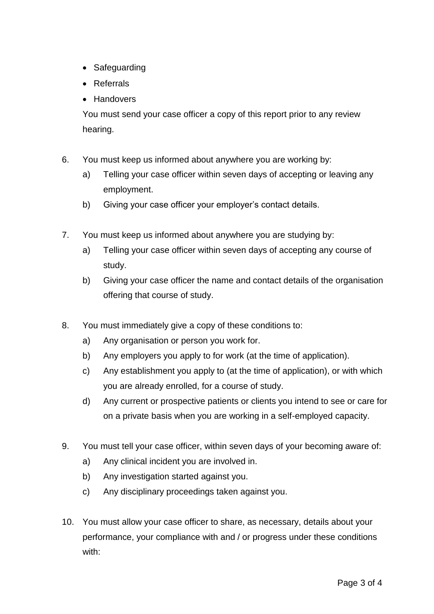- Safeguarding
- Referrals
- Handovers

You must send your case officer a copy of this report prior to any review hearing.

- 6. You must keep us informed about anywhere you are working by:
	- a) Telling your case officer within seven days of accepting or leaving any employment.
	- b) Giving your case officer your employer's contact details.
- 7. You must keep us informed about anywhere you are studying by:
	- a) Telling your case officer within seven days of accepting any course of study.
	- b) Giving your case officer the name and contact details of the organisation offering that course of study.
- 8. You must immediately give a copy of these conditions to:
	- a) Any organisation or person you work for.
	- b) Any employers you apply to for work (at the time of application).
	- c) Any establishment you apply to (at the time of application), or with which you are already enrolled, for a course of study.
	- d) Any current or prospective patients or clients you intend to see or care for on a private basis when you are working in a self-employed capacity.
- 9. You must tell your case officer, within seven days of your becoming aware of:
	- a) Any clinical incident you are involved in.
	- b) Any investigation started against you.
	- c) Any disciplinary proceedings taken against you.
- 10. You must allow your case officer to share, as necessary, details about your performance, your compliance with and / or progress under these conditions with: